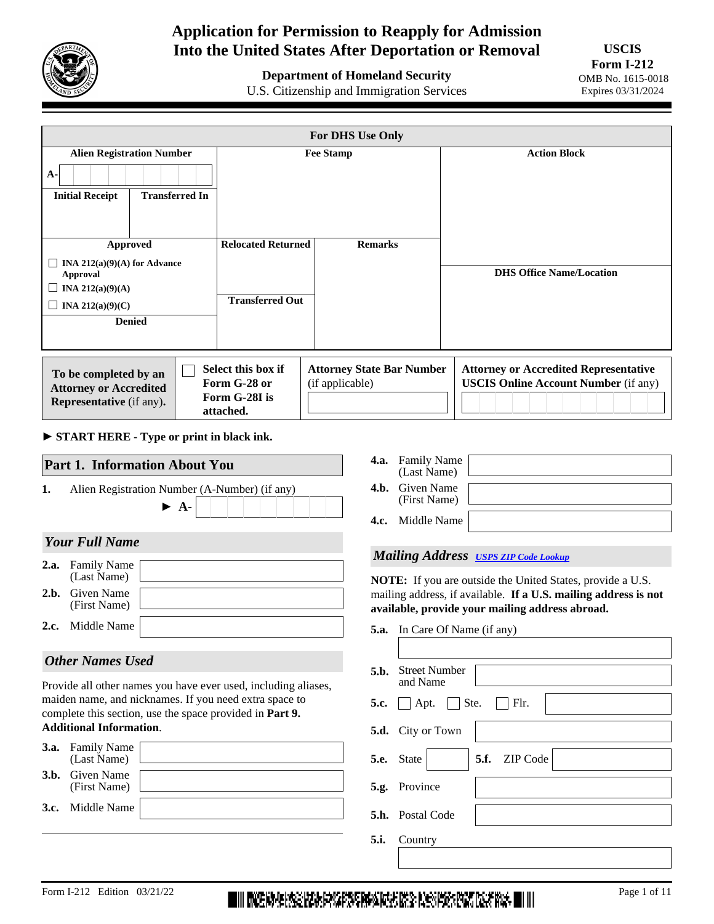

# **Application for Permission to Reapply for Admission Into the United States After Deportation or Removal**

**Department of Homeland Security** 

U.S. Citizenship and Immigration Services

|                                                                                           | <b>For DHS Use Only</b> |                            |                                  |                                              |  |
|-------------------------------------------------------------------------------------------|-------------------------|----------------------------|----------------------------------|----------------------------------------------|--|
| <b>Alien Registration Number</b>                                                          |                         | <b>Fee Stamp</b>           |                                  | <b>Action Block</b>                          |  |
| $A -$                                                                                     |                         |                            |                                  |                                              |  |
| <b>Initial Receipt</b><br><b>Transferred In</b>                                           |                         |                            |                                  |                                              |  |
|                                                                                           |                         |                            |                                  |                                              |  |
| <b>Approved</b>                                                                           |                         | <b>Relocated Returned</b>  | <b>Remarks</b>                   |                                              |  |
| $\Box$ INA 212(a)(9)(A) for Advance                                                       |                         |                            |                                  |                                              |  |
| <b>Approval</b>                                                                           |                         |                            |                                  | <b>DHS Office Name/Location</b>              |  |
| INA 212(a) $(9)(A)$<br>$\perp$                                                            |                         | <b>Transferred Out</b>     |                                  |                                              |  |
| INA 212(a)(9)(C)                                                                          |                         |                            |                                  |                                              |  |
| <b>Denied</b>                                                                             |                         |                            |                                  |                                              |  |
|                                                                                           |                         |                            |                                  |                                              |  |
|                                                                                           |                         | Select this box if         | <b>Attorney State Bar Number</b> | <b>Attorney or Accredited Representative</b> |  |
| To be completed by an<br><b>Attorney or Accredited</b><br><b>Representative</b> (if any). |                         | Form G-28 or               | (if applicable)                  | <b>USCIS Online Account Number (if any)</b>  |  |
|                                                                                           |                         | Form G-28I is<br>attached. |                                  |                                              |  |

► **START HERE - Type or print in black ink.**

| 1. | Alien Registration Number (A-Number) (if any)                                                                            | $\triangleright$ A- |  |  |  |
|----|--------------------------------------------------------------------------------------------------------------------------|---------------------|--|--|--|
|    | <b>Your Full Name</b>                                                                                                    |                     |  |  |  |
|    | <b>2.a.</b> Family Name<br>(Last Name)                                                                                   |                     |  |  |  |
|    | 2.b. Given Name<br>(First Name)                                                                                          |                     |  |  |  |
|    | <b>2.c.</b> Middle Name                                                                                                  |                     |  |  |  |
|    | <b>Other Names Used</b>                                                                                                  |                     |  |  |  |
|    | Provide all other names you have ever used, including aliases,<br>moidan nama and niglenamos. If you need over speece to |                     |  |  |  |

maiden name, and nicknames. If you need extra space to complete this section, use the space provided in **Part 9. Additional Information**.

| <b>3.a.</b> Family Name<br>(Last Name) |  |
|----------------------------------------|--|
| <b>3.b.</b> Given Name<br>(First Name) |  |
| <b>3.c.</b> Middle Name                |  |
|                                        |  |

| <b>4.a.</b> Family Name<br>(Last Name) |  |
|----------------------------------------|--|
| <b>4.b.</b> Given Name<br>(First Name) |  |
| <b>4.c.</b> Middle Name                |  |

#### *Mailing Address [USPS ZIP Code Lookup](https://tools.usps.com/go/ZipLookupAction_input)*

**NOTE:** If you are outside the United States, provide a U.S. mailing address, if available. **If a U.S. mailing address is not available, provide your mailing address abroad.**

| <b>5.a.</b> In Care Of Name (if any) |
|--------------------------------------|
|                                      |

| 5.b. Street Number<br>and Name                           |
|----------------------------------------------------------|
| 5.c. $\Box$ Apt. $\Box$ Ste.<br>$\Box$ Flr.              |
| 5.d. City or Town                                        |
| <b>5.e.</b> State<br>$\blacktriangleright$ 5.f. ZIP Code |
| 5.g. Province                                            |
| <b>5.h.</b> Postal Code                                  |
| <b>5.i.</b> Country                                      |
|                                                          |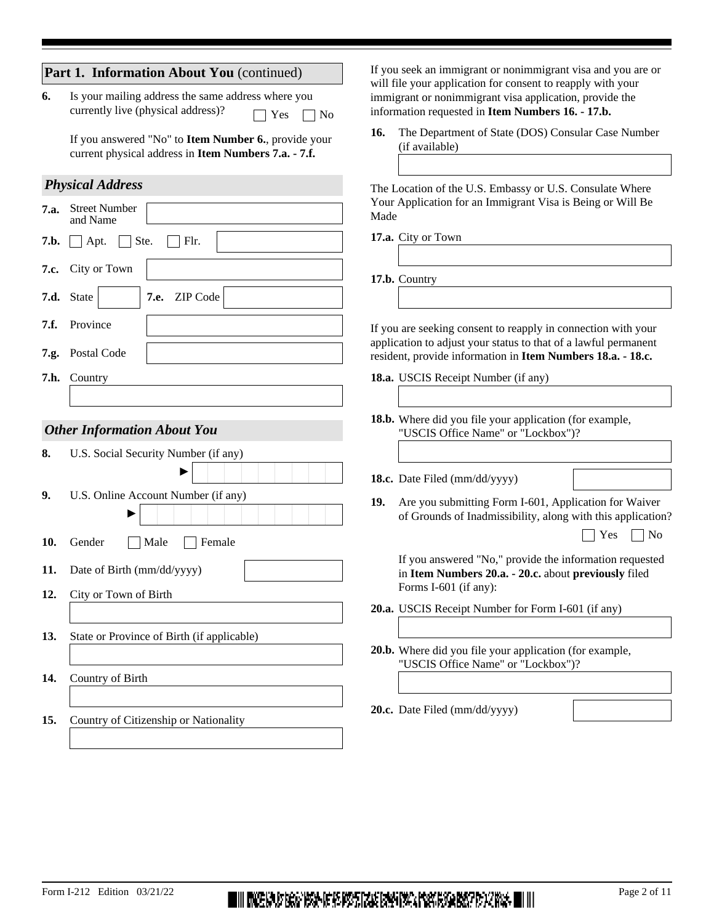|              | Part 1. Information About You (continued)                                                                         | If you seek an immigrant or nonimmigrant visa and you are or                                                                                                                                    |
|--------------|-------------------------------------------------------------------------------------------------------------------|-------------------------------------------------------------------------------------------------------------------------------------------------------------------------------------------------|
| 6.           | Is your mailing address the same address where you<br>currently live (physical address)?<br>N <sub>o</sub><br>Yes | will file your application for consent to reapply with your<br>immigrant or nonimmigrant visa application, provide the<br>information requested in Item Numbers 16. - 17.b.                     |
|              | If you answered "No" to Item Number 6., provide your<br>current physical address in Item Numbers 7.a. - 7.f.      | The Department of State (DOS) Consular Case Number<br>16.<br>(if available)                                                                                                                     |
|              | <b>Physical Address</b>                                                                                           | The Location of the U.S. Embassy or U.S. Consulate Where                                                                                                                                        |
| 7.a.         | <b>Street Number</b><br>and Name                                                                                  | Your Application for an Immigrant Visa is Being or Will Be<br>Made                                                                                                                              |
| 7.b.         | Ste.<br>Flr.<br>Apt.                                                                                              | 17.a. City or Town                                                                                                                                                                              |
| 7.c.         | City or Town                                                                                                      | 17.b. Country                                                                                                                                                                                   |
|              | $\blacktriangledown$<br>ZIP Code<br>7.d. State<br>7.e.                                                            |                                                                                                                                                                                                 |
| 7.f.<br>7.g. | Province<br>Postal Code                                                                                           | If you are seeking consent to reapply in connection with your<br>application to adjust your status to that of a lawful permanent<br>resident, provide information in Item Numbers 18.a. - 18.c. |
|              | 7.h. Country                                                                                                      | 18.a. USCIS Receipt Number (if any)                                                                                                                                                             |
|              | <b>Other Information About You</b>                                                                                | 18.b. Where did you file your application (for example,<br>"USCIS Office Name" or "Lockbox")?                                                                                                   |
| 8.           | U.S. Social Security Number (if any)                                                                              |                                                                                                                                                                                                 |
|              |                                                                                                                   | 18.c. Date Filed (mm/dd/yyyy)                                                                                                                                                                   |
| 9.           | U.S. Online Account Number (if any)                                                                               | Are you submitting Form I-601, Application for Waiver<br>19.<br>of Grounds of Inadmissibility, along with this application?                                                                     |
| 10.          | Male<br>Female<br>Gender                                                                                          | Yes<br>N <sub>o</sub>                                                                                                                                                                           |
| 11.          | Date of Birth (mm/dd/yyyy)                                                                                        | If you answered "No," provide the information requested<br>in Item Numbers 20.a. - 20.c. about previously filed                                                                                 |
| 12.          | City or Town of Birth                                                                                             | Forms I-601 (if any):<br>20.a. USCIS Receipt Number for Form I-601 (if any)                                                                                                                     |
| 13.          | State or Province of Birth (if applicable)                                                                        |                                                                                                                                                                                                 |
|              |                                                                                                                   | 20.b. Where did you file your application (for example,<br>"USCIS Office Name" or "Lockbox")?                                                                                                   |
| 14.          | Country of Birth                                                                                                  |                                                                                                                                                                                                 |
| 15.          | Country of Citizenship or Nationality                                                                             | 20.c. Date Filed (mm/dd/yyyy)                                                                                                                                                                   |
|              |                                                                                                                   |                                                                                                                                                                                                 |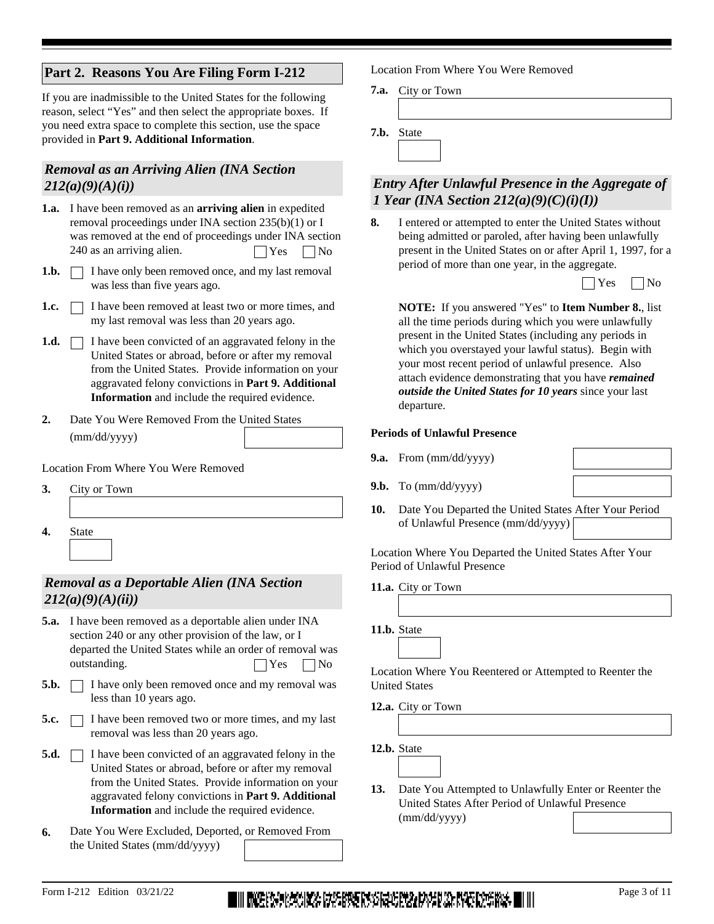# **Part 2. Reasons You Are Filing Form I-212**

If you are inadmissible to the United States for the following reason, select "Yes" and then select the appropriate boxes. If you need extra space to complete this section, use the space provided in **Part 9. Additional Information**.

# *Removal as an Arriving Alien (INA Section 212(a)(9)(A)(i))*

- **1.a.** I have been removed as an **arriving alien** in expedited removal proceedings under INA section 235(b)(1) or I was removed at the end of proceedings under INA section 240 as an arriving alien.  $|$  Yes  $\Box$  No
- **1.b.**  $\Box$  I have only been removed once, and my last removal was less than five years ago.
- I have been removed at least two or more times, and my last removal was less than 20 years ago. **1.c.**
- **1.d.**  $\Box$  I have been convicted of an aggravated felony in the United States or abroad, before or after my removal from the United States. Provide information on your aggravated felony convictions in **Part 9. Additional Information** and include the required evidence.
- **2.** Date You Were Removed From the United States (mm/dd/yyyy)

Location From Where You Were Removed

**3.** City or Town **4.** State  $\blacktriangledown$ 

# *Removal as a Deportable Alien (INA Section 212(a)(9)(A)(ii))*

- **5.a.** I have been removed as a deportable alien under INA section 240 or any other provision of the law, or I departed the United States while an order of removal was outstanding.  $|$   $|$  Yes  $|$   $|$  No
- **5.b.**  $\Box$  I have only been removed once and my removal was less than 10 years ago.
- **5.c.**  $\Box$  I have been removed two or more times, and my last removal was less than 20 years ago.
- **5.d.**  $\Box$  I have been convicted of an aggravated felony in the United States or abroad, before or after my removal from the United States. Provide information on your aggravated felony convictions in **Part 9. Additional Information** and include the required evidence.
- **6.** Date You Were Excluded, Deported, or Removed From the United States (mm/dd/yyyy)

Location From Where You Were Removed

City or Town **7.a.**

**7.b.** State

# *Entry After Unlawful Presence in the Aggregate of 1 Year (INA Section 212(a)(9)(C)(i)(I))*

I entered or attempted to enter the United States without being admitted or paroled, after having been unlawfully present in the United States on or after April 1, 1997, for a period of more than one year, in the aggregate. **8.**



**NOTE:** If you answered "Yes" to **Item Number 8.**, list all the time periods during which you were unlawfully present in the United States (including any periods in which you overstayed your lawful status). Begin with your most recent period of unlawful presence. Also attach evidence demonstrating that you have *remained outside the United States for 10 years* since your last departure.

#### **Periods of Unlawful Presence**

**9.a.** From (mm/dd/yyyy)

**9.b.** To (mm/dd/yyyy)

- 
- Date You Departed the United States After Your Period of Unlawful Presence (mm/dd/yyyy) **10.**

Location Where You Departed the United States After Your Period of Unlawful Presence

11.a. City or Town

11.b. State

Location Where You Reentered or Attempted to Reenter the United States

12.a. City or Town

12.b. State

- 
- Date You Attempted to Unlawfully Enter or Reenter the United States After Period of Unlawful Presence (mm/dd/yyyy) **13.**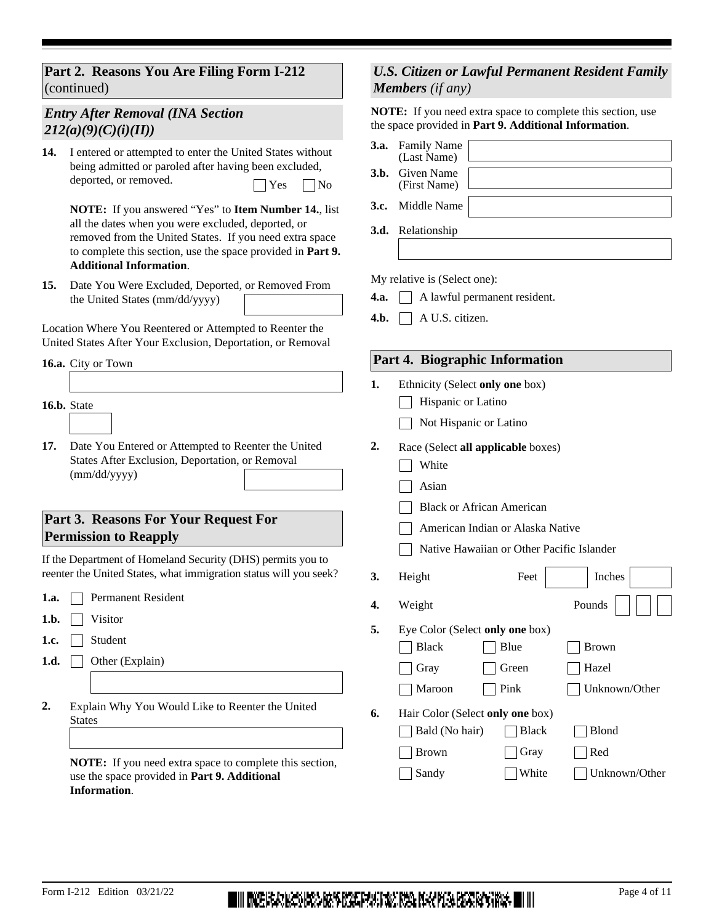## **Part 2. Reasons You Are Filing Form I-212**  (continued)

# *Entry After Removal (INA Section 212(a)(9)(C)(i)(II))*

14. I entered or attempted to enter the United States without being admitted or paroled after having been excluded, deported, or removed.  $\Box$  Yes  $\Box$  No

**NOTE:** If you answered "Yes" to **Item Number 14.**, list all the dates when you were excluded, deported, or removed from the United States. If you need extra space to complete this section, use the space provided in **Part 9. Additional Information**.

Date You Were Excluded, Deported, or Removed From the United States (mm/dd/yyyy) **15.**

Location Where You Reentered or Attempted to Reenter the United States After Your Exclusion, Deportation, or Removal

#### 16.a. City or Town

#### 16.b. State

- 
- Date You Entered or Attempted to Reenter the United States After Exclusion, Deportation, or Removal (mm/dd/yyyy) **17.**

## **Part 3. Reasons For Your Request For Permission to Reapply**

If the Department of Homeland Security (DHS) permits you to reenter the United States, what immigration status will you seek?

- 1.a. Permanent Resident
- **Visitor 1.b.**
- Student **1.c.**
- 1.d. Other (Explain)
- Explain Why You Would Like to Reenter the United **States 2.**

**NOTE:** If you need extra space to complete this section, use the space provided in **Part 9. Additional Information**.

## *U.S. Citizen or Lawful Permanent Resident Family Members (if any)*

**NOTE:** If you need extra space to complete this section, use the space provided in **Part 9. Additional Information**.

| <b>3.a.</b> Family Name<br>(Last Name) |
|----------------------------------------|
| <b>3.b.</b> Given Name<br>(First Name) |
| <b>3.c.</b> Middle Name                |
| 3.d. Relationship                      |
|                                        |

My relative is (Select one):

- 4.a. **A** lawful permanent resident.
- **4.b.** A U.S. citizen.

#### **Part 4. Biographic Information**

- **1.** Ethnicity (Select **only one** box)
	- $\Box$  Hispanic or Latino
	- Not Hispanic or Latino
- **2.** Race (Select **all applicable** boxes)
	- **White**
	- Asian
	- **Black or African American**
	- American Indian or Alaska Native
	- Native Hawaiian or Other Pacific Islander

|    | 3. Height |                                 | Feet $\overline{\bullet}$ Inches $\overline{\bullet}$ |
|----|-----------|---------------------------------|-------------------------------------------------------|
|    | 4. Weight |                                 | Pounds $\vert \vert \vert \vert \vert \vert \vert$    |
| 5. |           | Eye Color (Select only one box) |                                                       |
|    | Black     | Blue                            | Brown                                                 |

|    | Maroon                             | $\vert$   Pink | Unknown/Other |
|----|------------------------------------|----------------|---------------|
| 6. | Hair Color (Select only one box)   |                |               |
|    | $\Box$ Bald (No hair) $\Box$ Black |                | Blond         |
|    | Brown                              | Gray           | Red           |

Gray Green Hazel

|  | апа |
|--|-----|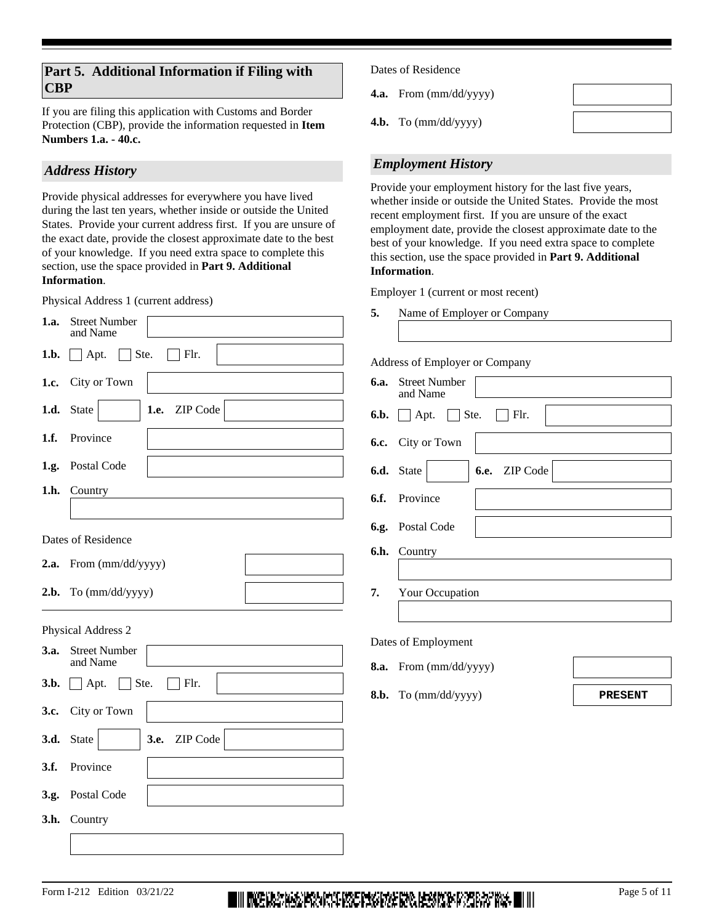If you are filing this application with Customs and Border Protection (CBP), provide the information requested in **Item Numbers 1.a. - 40.c.**

# *Address History*

Provide physical addresses for everywhere you have lived during the last ten years, whether inside or outside the United States. Provide your current address first. If you are unsure of the exact date, provide the closest approximate date to the best of your knowledge. If you need extra space to complete this section, use the space provided in **Part 9. Additional Information**.

Physical Address 1 (current address)

|      | I hysical Address T (current address)                        |
|------|--------------------------------------------------------------|
| 1.a. | <b>Street Number</b><br>and Name                             |
| 1.b. | Apt.<br>$\Box$ Ste.<br>$\top$ Flr.<br>$\blacksquare$         |
| 1.c. | City or Town                                                 |
| 1.d. | 1.e. ZIP Code<br>State                                       |
| 1.f. | Province                                                     |
|      | 1.g. Postal Code                                             |
| 1.h. | Country                                                      |
|      |                                                              |
|      | Dates of Residence                                           |
| 2.a. | From (mm/dd/yyyy)                                            |
| 2.b. | To (mm/dd/yyyy)                                              |
|      | Physical Address 2                                           |
| 3.a. | <b>Street Number</b><br>and Name                             |
| 3.b. | Ste.<br>Flr.<br>$\Box$ Apt.                                  |
| 3.c. | City or Town                                                 |
| 3.d. | 3.e.<br><b>State</b><br>ZIP Code<br>$\vert \mathbf{v} \vert$ |
| 3.f. | Province                                                     |
|      |                                                              |
| 3.g. | Postal Code                                                  |
| 3.h. | Country                                                      |

Dates of Residence

**4.a.** From (mm/dd/yyyy)

**4.b.** To (mm/dd/yyyy)



# *Employment History*

Provide your employment history for the last five years, whether inside or outside the United States. Provide the most recent employment first. If you are unsure of the exact employment date, provide the closest approximate date to the best of your knowledge. If you need extra space to complete this section, use the space provided in **Part 9. Additional Information**.

Employer 1 (current or most recent)

**5.** Name of Employer or Company

Address of Employer or Company

| <b>6.a.</b> Street Number<br>and Name                 |  |  |  |  |  |  |  |
|-------------------------------------------------------|--|--|--|--|--|--|--|
| $\Box$ Flr.<br><b>6.b.</b> $\Box$ Apt. $\Box$ Ste.    |  |  |  |  |  |  |  |
| <b>6.c.</b> City or Town                              |  |  |  |  |  |  |  |
| 6.e. ZIP Code<br><b>6.d.</b> State<br>$\  \bullet \ $ |  |  |  |  |  |  |  |
| <b>6.f.</b> Province                                  |  |  |  |  |  |  |  |
| 6.g. Postal Code                                      |  |  |  |  |  |  |  |
| 6.h. Country                                          |  |  |  |  |  |  |  |
| 7. Your Occupation                                    |  |  |  |  |  |  |  |
| Dates of Employment                                   |  |  |  |  |  |  |  |

- **8.a.** From (mm/dd/yyyy)
- **8.b.** To (mm/dd/yyyy)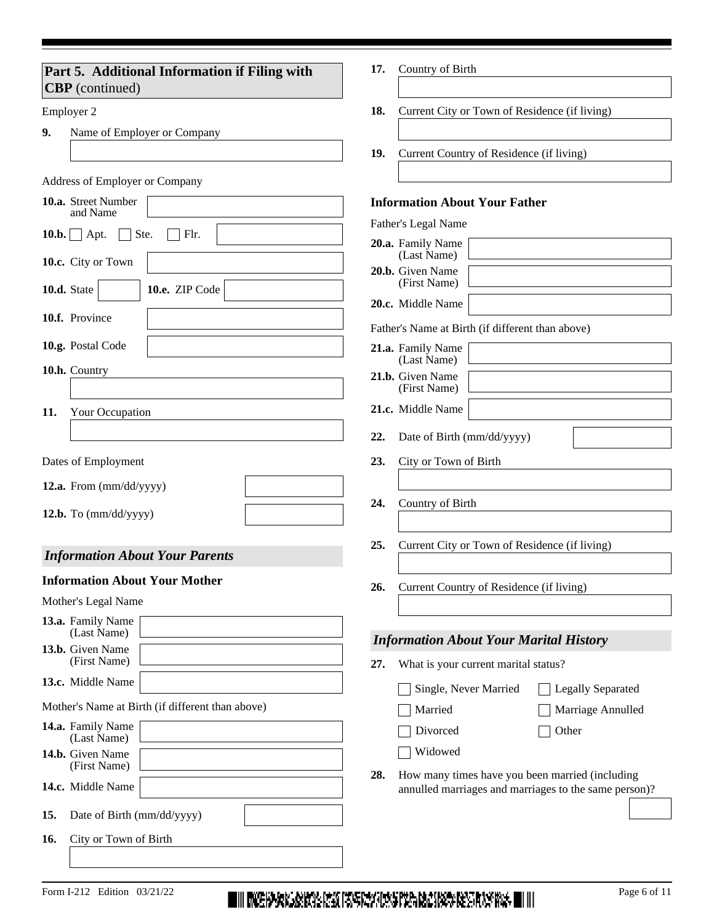| Part 5. Additional Information if Filing with<br><b>CBP</b> (continued) | Country of Birth<br>17.                                               |
|-------------------------------------------------------------------------|-----------------------------------------------------------------------|
| Employer 2                                                              | 18.<br>Current City or Town of Residence (if living)                  |
| 9.<br>Name of Employer or Company                                       |                                                                       |
|                                                                         | 19.<br>Current Country of Residence (if living)                       |
| <b>Address of Employer or Company</b>                                   |                                                                       |
| 10.a. Street Number<br>and Name                                         | <b>Information About Your Father</b>                                  |
| Ste.<br>$10.b.$ Apt.<br>Flr.                                            | Father's Legal Name                                                   |
|                                                                         | 20.a. Family Name<br>(Last Name)                                      |
| 10.c. City or Town                                                      | 20.b. Given Name                                                      |
| 10.e. ZIP Code<br>10.d. State<br>$\vert \bm{\nabla} \vert$              | (First Name)<br>20.c. Middle Name                                     |
| 10.f. Province                                                          |                                                                       |
| 10.g. Postal Code                                                       | Father's Name at Birth (if different than above)<br>21.a. Family Name |
| 10.h. Country                                                           | (Last Name)                                                           |
|                                                                         | 21.b. Given Name<br>(First Name)                                      |
| 11.<br>Your Occupation                                                  | 21.c. Middle Name                                                     |
|                                                                         | Date of Birth (mm/dd/yyyy)<br>22.                                     |
| Dates of Employment                                                     | 23.<br>City or Town of Birth                                          |
| 12.a. From $\text{(mm/dd/yyyy)}$                                        |                                                                       |
|                                                                         | Country of Birth<br>24.                                               |
| 12.b. To $(mm/dd/yyyy)$                                                 |                                                                       |
| <b>Information About Your Parents</b>                                   | Current City or Town of Residence (if living)<br>25.                  |
| <b>Information About Your Mother</b>                                    | Current Country of Residence (if living)<br>26.                       |
| Mother's Legal Name                                                     |                                                                       |
| 13.a. Family Name<br>(Last Name)                                        |                                                                       |
| 13.b. Given Name<br>(First Name)                                        | <b>Information About Your Marital History</b>                         |
| 13.c. Middle Name                                                       | What is your current marital status?<br>27.                           |
| Mother's Name at Birth (if different than above)                        | Single, Never Married<br><b>Legally Separated</b>                     |
| 14.a. Family Name                                                       | Marriage Annulled<br>Married<br>Divorced<br>Other                     |
| (Last Name)<br>14.b. Given Name                                         | Widowed                                                               |
| (First Name)                                                            | How many times have you been married (including<br>28.                |
| 14.c. Middle Name                                                       | annulled marriages and marriages to the same person)?                 |
| Date of Birth (mm/dd/yyyy)<br>15.                                       |                                                                       |
| City or Town of Birth<br>16.                                            |                                                                       |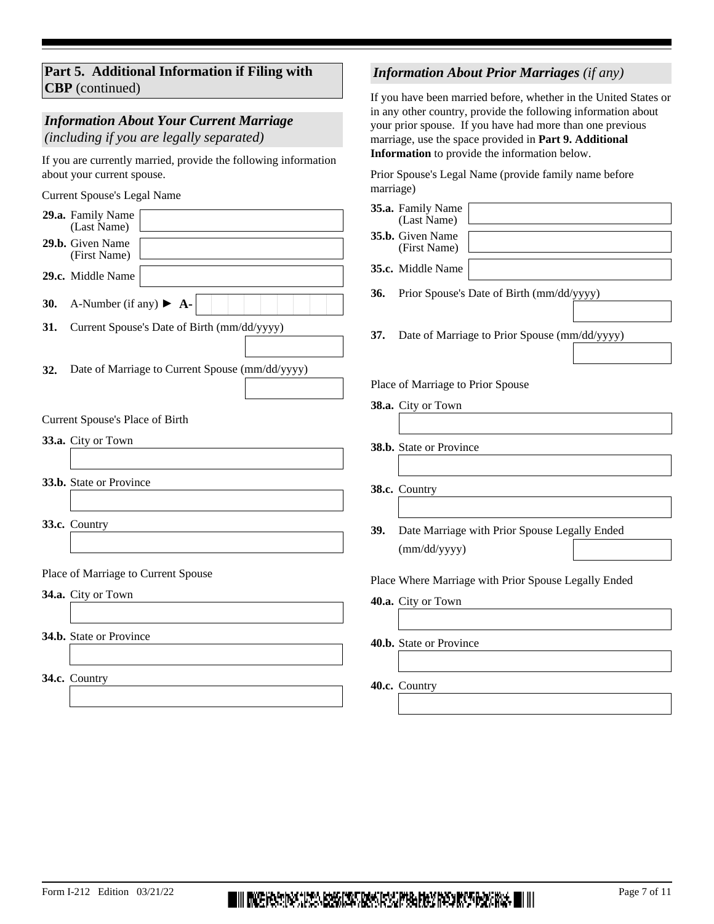| Part 5. Additional Information if Filing with |  |
|-----------------------------------------------|--|
| <b>CBP</b> (continued)                        |  |

# *Information About Your Current Marriage*

*(including if you are legally separated)*

If you are currently married, provide the following information about your current spouse.

Current Spouse's Legal Name

|     | 29.a. Family Name<br>(Last Name)                          | 35.a. Family Name<br>(Last Name)                                                           |  |  |  |  |  |  |
|-----|-----------------------------------------------------------|--------------------------------------------------------------------------------------------|--|--|--|--|--|--|
|     | 29.b. Given Name<br>(First Name)                          | 35.b. Given Name<br>(First Name)                                                           |  |  |  |  |  |  |
|     | 29.c. Middle Name                                         | 35.c. Middle Name                                                                          |  |  |  |  |  |  |
| 30. | A-Number (if any) $\blacktriangleright$ <b>A-</b>         | Prior Spouse's Date of Birth (mm/dd/yyyy)<br>36.                                           |  |  |  |  |  |  |
| 31. | Current Spouse's Date of Birth (mm/dd/yyyy)               | Date of Marriage to Prior Spouse (mm/dd/yyyy)<br>37.                                       |  |  |  |  |  |  |
| 32. | Date of Marriage to Current Spouse (mm/dd/yyyy)           | Place of Marriage to Prior Spouse                                                          |  |  |  |  |  |  |
|     | Current Spouse's Place of Birth                           | 38.a. City or Town                                                                         |  |  |  |  |  |  |
|     | 33.a. City or Town                                        | 38.b. State or Province                                                                    |  |  |  |  |  |  |
|     | 33.b. State or Province                                   | 38.c. Country                                                                              |  |  |  |  |  |  |
|     | 33.c. Country                                             | Date Marriage with Prior Spouse Legally Ended<br>39.                                       |  |  |  |  |  |  |
|     | Place of Marriage to Current Spouse<br>34.a. City or Town | (mm/dd/yyyy)<br>Place Where Marriage with Prior Spouse Legally Ended<br>40.a. City or Town |  |  |  |  |  |  |
|     | 34.b. State or Province                                   | 40.b. State or Province                                                                    |  |  |  |  |  |  |
|     | 34.c. Country                                             | 40.c. Country                                                                              |  |  |  |  |  |  |
|     |                                                           |                                                                                            |  |  |  |  |  |  |

marriage)

# *Information About Prior Marriages (if any)*

Prior Spouse's Legal Name (provide family name before

If you have been married before, whether in the United States or in any other country, provide the following information about your prior spouse. If you have had more than one previous marriage, use the space provided in **Part 9. Additional Information** to provide the information below.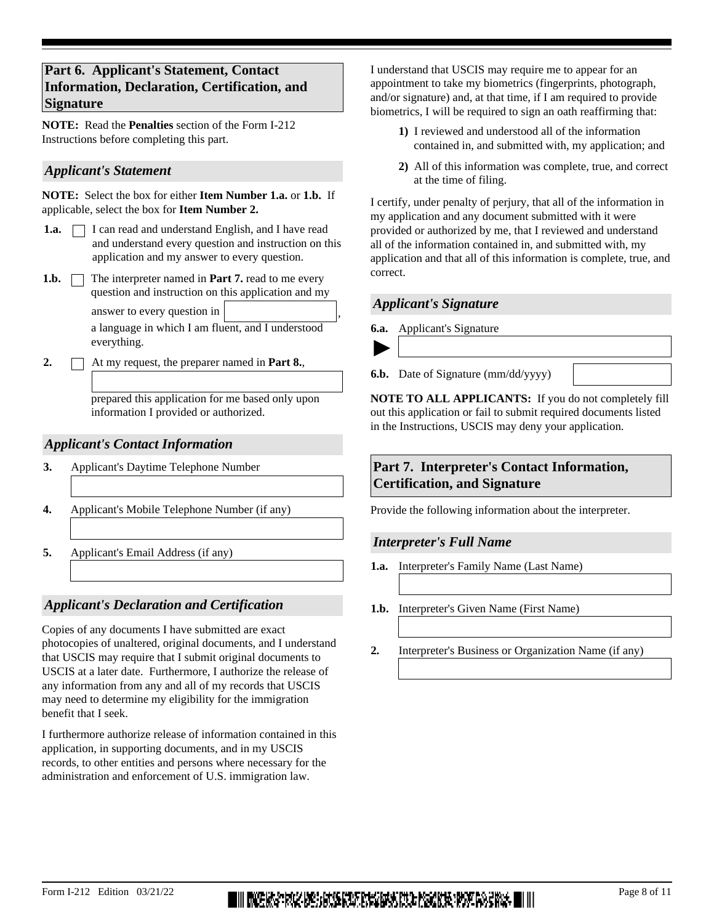# **Part 6. Applicant's Statement, Contact Information, Declaration, Certification, and Signature**

**NOTE:** Read the **Penalties** section of the Form I-212 Instructions before completing this part.

#### *Applicant's Statement*

**NOTE:** Select the box for either **Item Number 1.a.** or **1.b.** If applicable, select the box for **Item Number 2.**

- **1.a.**  $\Box$  I can read and understand English, and I have read and understand every question and instruction on this application and my answer to every question.
- **1.b.**  $\Box$  The interpreter named in **Part 7.** read to me every question and instruction on this application and my

answer to every question in

a language in which I am fluent, and I understood everything.

**2.** At my request, the preparer named in **Part 8.**,

prepared this application for me based only upon information I provided or authorized.

## *Applicant's Contact Information*

- **3.** Applicant's Daytime Telephone Number
- **4.** Applicant's Mobile Telephone Number (if any)
- **5.** Applicant's Email Address (if any)

# *Applicant's Declaration and Certification*

Copies of any documents I have submitted are exact photocopies of unaltered, original documents, and I understand that USCIS may require that I submit original documents to USCIS at a later date. Furthermore, I authorize the release of any information from any and all of my records that USCIS may need to determine my eligibility for the immigration benefit that I seek.

I furthermore authorize release of information contained in this application, in supporting documents, and in my USCIS records, to other entities and persons where necessary for the administration and enforcement of U.S. immigration law.

I understand that USCIS may require me to appear for an appointment to take my biometrics (fingerprints, photograph, and/or signature) and, at that time, if I am required to provide biometrics, I will be required to sign an oath reaffirming that:

- **1)** I reviewed and understood all of the information contained in, and submitted with, my application; and
- **2)** All of this information was complete, true, and correct at the time of filing.

I certify, under penalty of perjury, that all of the information in my application and any document submitted with it were provided or authorized by me, that I reviewed and understand all of the information contained in, and submitted with, my application and that all of this information is complete, true, and correct.

#### *Applicant's Signature*

**6.a.** Applicant's Signature



,

**6.b.** Date of Signature (mm/dd/yyyy)

**NOTE TO ALL APPLICANTS:** If you do not completely fill out this application or fail to submit required documents listed in the Instructions, USCIS may deny your application.

# **Part 7. Interpreter's Contact Information, Certification, and Signature**

Provide the following information about the interpreter.

#### *Interpreter's Full Name*

- **1.a.** Interpreter's Family Name (Last Name)
- **1.b.** Interpreter's Given Name (First Name)
- **2.** Interpreter's Business or Organization Name (if any)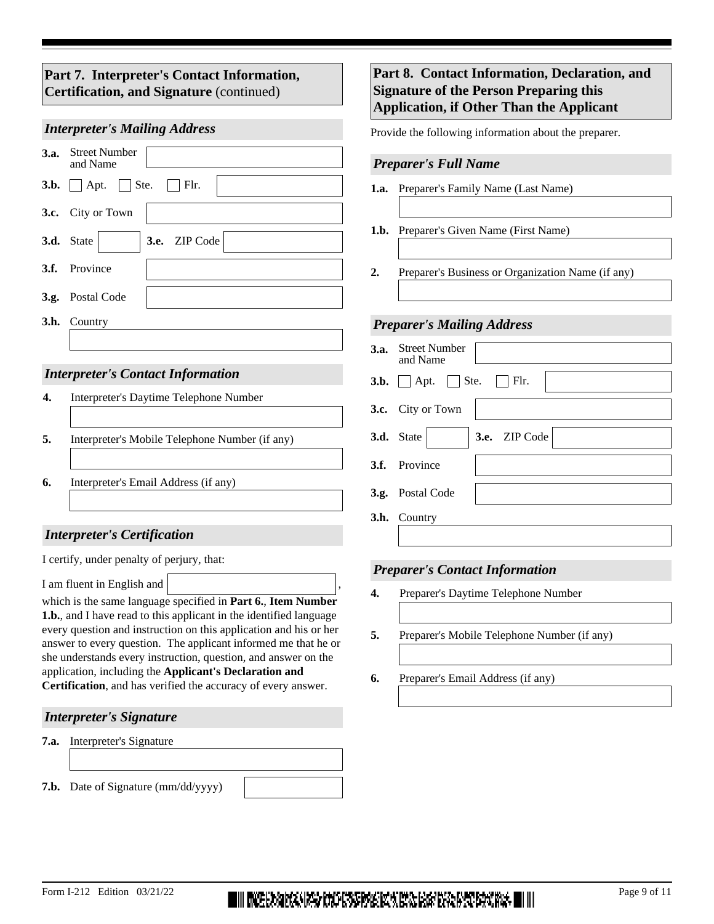# **Part 7. Interpreter's Contact Information, Certification, and Signature** (continued)

#### *Interpreter's Mailing Address*

| 3.a. Street Number<br>and Name                    |
|---------------------------------------------------|
| <b>3.b.</b> $\Box$ Apt. $\Box$ Ste. $\Box$ Flr.   |
| 3.c. City or Town                                 |
| $\blacktriangleright$ 3.e. ZIP Code<br>3.d. State |
| 3.f. Province                                     |
| 3.g. Postal Code                                  |
| <b>3.h.</b> Country                               |
|                                                   |

## *Interpreter's Contact Information*

|    | Interpreter's Daytime Telephone Number         |
|----|------------------------------------------------|
| 5. | Interpreter's Mobile Telephone Number (if any) |
| 6. | Interpreter's Email Address (if any)           |

# *Interpreter's Certification*

I certify, under penalty of perjury, that:

I am fluent in English and ,

which is the same language specified in **Part 6.**, **Item Number 1.b.**, and I have read to this applicant in the identified language every question and instruction on this application and his or her answer to every question. The applicant informed me that he or she understands every instruction, question, and answer on the application, including the **Applicant's Declaration and Certification**, and has verified the accuracy of every answer.

# *Interpreter's Signature*

**7.a.** Interpreter's Signature

**7.b.** Date of Signature (mm/dd/yyyy)

# **Part 8. Contact Information, Declaration, and Signature of the Person Preparing this Application, if Other Than the Applicant**

Provide the following information about the preparer.

#### *Preparer's Full Name*

- **1.a.** Preparer's Family Name (Last Name)
- **1.b.** Preparer's Given Name (First Name)
- **2.** Preparer's Business or Organization Name (if any)

#### *Preparer's Mailing Address*

| 3.a. Street Number<br>and Name                    |
|---------------------------------------------------|
| $3.b.$ Apt. Ste.<br>$\Box$ Flr.                   |
| 3.c. City or Town                                 |
| $\blacktriangleright$ 3.e. ZIP Code<br>3.d. State |
| 3.f. Province                                     |
| 3.g. Postal Code                                  |
| 3.h. Country                                      |
|                                                   |

# *Preparer's Contact Information*

- **4.** Preparer's Daytime Telephone Number
- **5.** Preparer's Mobile Telephone Number (if any)
- **6.** Preparer's Email Address (if any)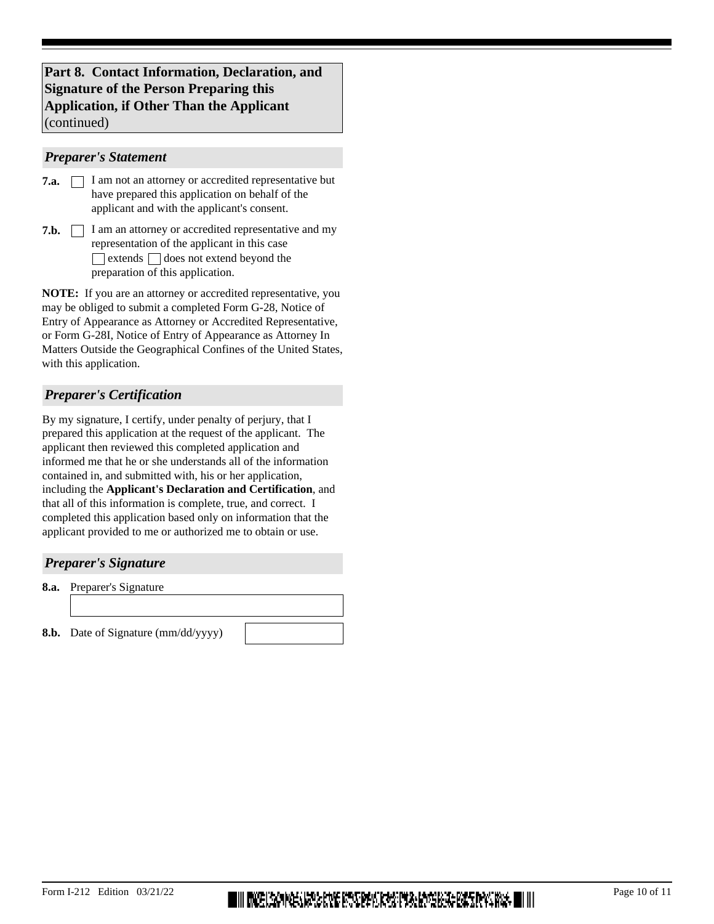## **Part 8. Contact Information, Declaration, and Signature of the Person Preparing this Application, if Other Than the Applicant**  (continued)

#### *Preparer's Statement*

| 7.a. | I am not an attorney or accredited representative but |
|------|-------------------------------------------------------|
|      | have prepared this application on behalf of the       |
|      | applicant and with the applicant's consent.           |

**7.b.** <u>I</u> I am an attorney or accredited representative and my representation of the applicant in this case  $\Box$  extends  $\Box$  does not extend beyond the preparation of this application.

**NOTE:** If you are an attorney or accredited representative, you may be obliged to submit a completed Form G-28, Notice of Entry of Appearance as Attorney or Accredited Representative, or Form G-28I, Notice of Entry of Appearance as Attorney In Matters Outside the Geographical Confines of the United States, with this application.

## *Preparer's Certification*

By my signature, I certify, under penalty of perjury, that I prepared this application at the request of the applicant. The applicant then reviewed this completed application and informed me that he or she understands all of the information contained in, and submitted with, his or her application, including the **Applicant's Declaration and Certification**, and that all of this information is complete, true, and correct. I completed this application based only on information that the applicant provided to me or authorized me to obtain or use.

#### *Preparer's Signature*

**8.a.** Preparer's Signature

**8.b.** Date of Signature (mm/dd/yyyy)